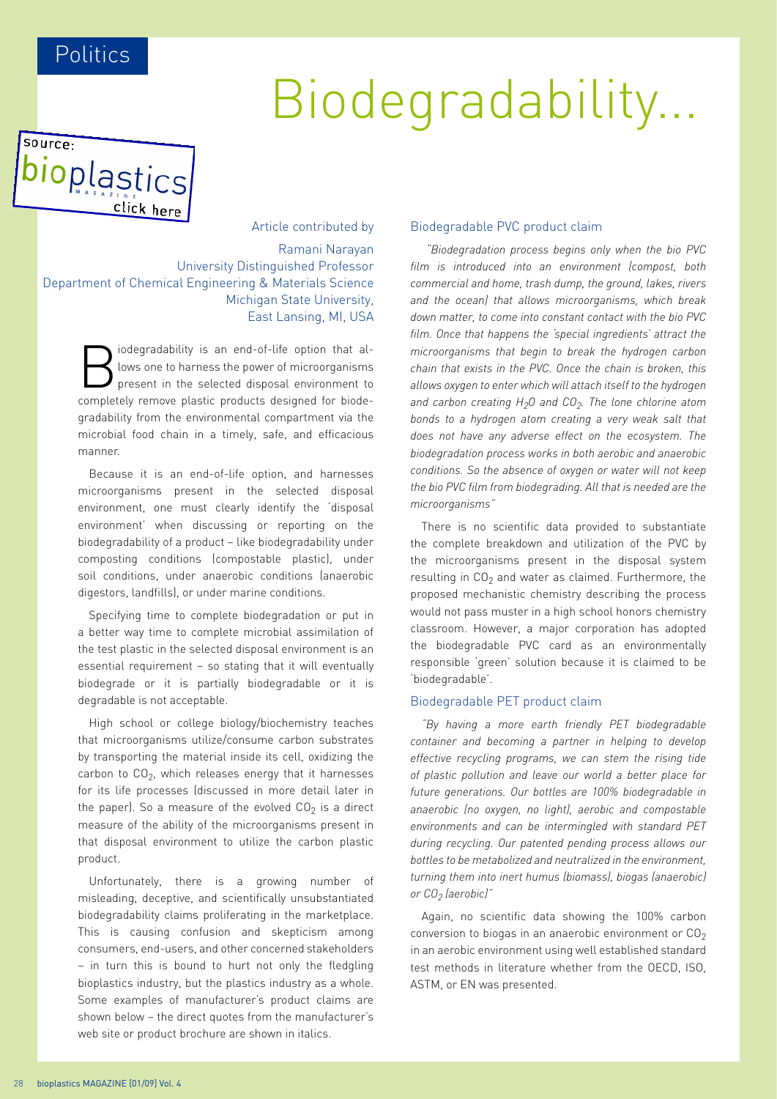# Biodegradability...

source: bioplastics click here

Article contributed by Ramani Narayan University Distinguished Professor Department of Chemical Engineering & Materials Science Michigan State University, East Lansing, MI, USA

> iodegradability is an end-of-life option that allows one to harness the power of microorganisms present in the selected disposal environment to completely remove plastic products designed for biodegradability from the environmental compartment via the microbial food chain in a timely, safe, and efficacious manner.

> Because it is an end-of-life option, and harnesses microorganisms present in the selected disposal environment, one must clearly identify the 'disposal environment' when discussing or reporting on the biodegradability of a product – like biodegradability under composting conditions (compostable plastic), under soil conditions, under anaerobic conditions (anaerobic digestors, landfills), or under marine conditions.

> Specifying time to complete biodegradation or put in a better way time to complete microbial assimilation of the test plastic in the selected disposal environment is an essential requirement – so stating that it will eventually biodegrade or it is partially biodegradable or it is degradable is not acceptable.

> High school or college biology/biochemistry teaches that microorganisms utilize/consume carbon substrates by transporting the material inside its cell, oxidizing the carbon to  $CO<sub>2</sub>$ , which releases energy that it harnesses for its life processes (discussed in more detail later in the paper). So a measure of the evolved  $CO<sub>2</sub>$  is a direct measure of the ability of the microorganisms present in that disposal environment to utilize the carbon plastic product.

> Unfortunately, there is a growing number of misleading, deceptive, and scientifically unsubstantiated biodegradability claims proliferating in the marketplace. This is causing confusion and skepticism among consumers, end-users, and other concerned stakeholders – in turn this is bound to hurt not only the fledgling bioplastics industry, but the plastics industry as a whole. Some examples of manufacturer's product claims are shown below – the direct quotes from the manufacturer's web site or product brochure are shown in italics.

#### Biodegradable PVC product claim

 *"Biodegradation process begins only when the bio PVC film is introduced into an environment (compost, both commercial and home, trash dump, the ground, lakes, rivers and the ocean) that allows microorganisms, which break down matter, to come into constant contact with the bio PVC film. Once that happens the 'special ingredients' attract the microorganisms that begin to break the hydrogen carbon chain that exists in the PVC. Once the chain is broken, this allows oxygen to enter which will attach itself to the hydrogen*  and carbon creating H<sub>2</sub>O and CO<sub>2</sub>. The lone chlorine atom *bonds to a hydrogen atom creating a very weak salt that does not have any adverse effect on the ecosystem. The biodegradation process works in both aerobic and anaerobic conditions. So the absence of oxygen or water will not keep the bio PVC film from biodegrading. All that is needed are the microorganisms"*

There is no scientific data provided to substantiate the complete breakdown and utilization of the PVC by the microorganisms present in the disposal system resulting in  $CO<sub>2</sub>$  and water as claimed. Furthermore, the proposed mechanistic chemistry describing the process would not pass muster in a high school honors chemistry classroom. However, a major corporation has adopted the biodegradable PVC card as an environmentally responsible 'green' solution because it is claimed to be 'biodegradable'.

#### Biodegradable PET product claim

*"By having a more earth friendly PET biodegradable container and becoming a partner in helping to develop effective recycling programs, we can stem the rising tide of plastic pollution and leave our world a better place for future generations. Our bottles are 100% biodegradable in anaerobic (no oxygen, no light), aerobic and compostable environments and can be intermingled with standard PET during recycling. Our patented pending process allows our bottles to be metabolized and neutralized in the environment, turning them into inert humus (biomass), biogas (anaerobic) or CO2 (aerobic)"*

Again, no scientific data showing the 100% carbon conversion to biogas in an anaerobic environment or  $CO<sub>2</sub>$ in an aerobic environment using well established standard test methods in literature whether from the OECD, ISO, ASTM, or EN was presented.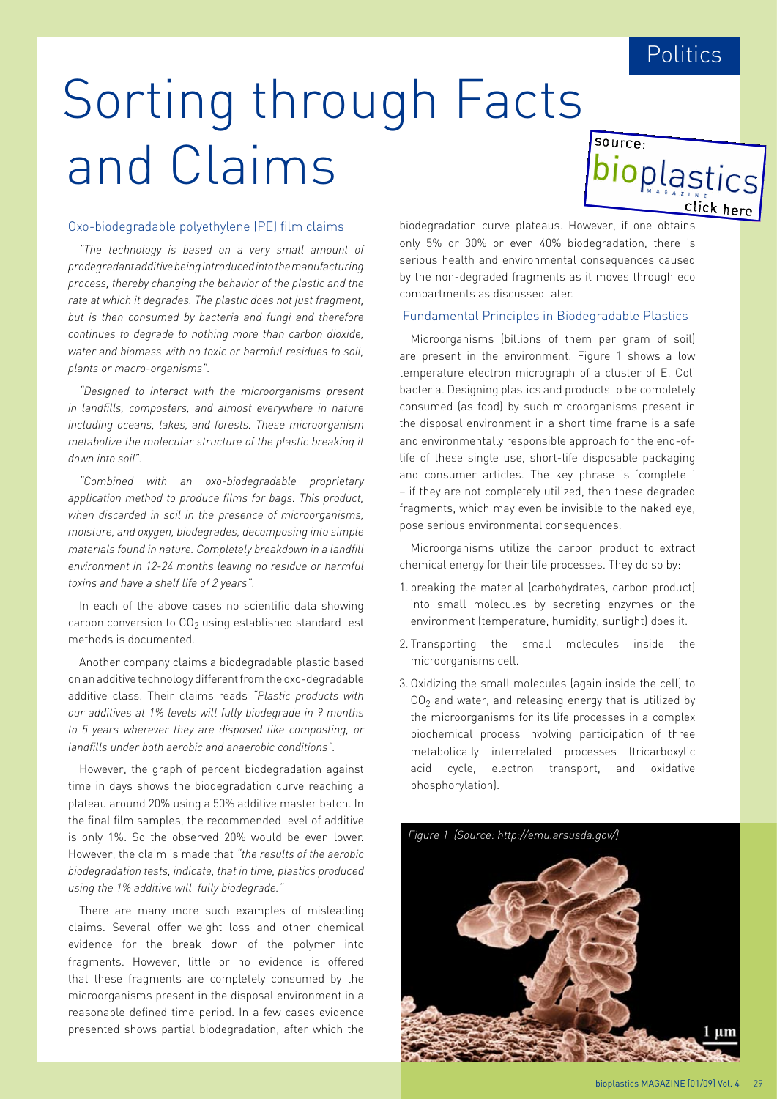bioplastics

click here

source:

# Sorting through Fact[s](http://www.bioplasticsmagazine.com) and Claims

### Oxo-biodegradable polyethylene (PE) film claims

*"The technology is based on a very small amount of prodegradant additive being introduced into the manufacturing process, thereby changing the behavior of the plastic and the rate at which it degrades. The plastic does not just fragment, but is then consumed by bacteria and fungi and therefore continues to degrade to nothing more than carbon dioxide, water and biomass with no toxic or harmful residues to soil, plants or macro-organisms".*

*"Designed to interact with the microorganisms present in landfills, composters, and almost everywhere in nature including oceans, lakes, and forests. These microorganism metabolize the molecular structure of the plastic breaking it down into soil".*

*"Combined with an oxo-biodegradable proprietary application method to produce films for bags. This product, when discarded in soil in the presence of microorganisms, moisture, and oxygen, biodegrades, decomposing into simple materials found in nature. Completely breakdown in a landfill environment in 12-24 months leaving no residue or harmful toxins and have a shelf life of 2 years".*

In each of the above cases no scientific data showing carbon conversion to CO<sub>2</sub> using established standard test methods is documented.

Another company claims a biodegradable plastic based on an additive technology different from the oxo-degradable additive class. Their claims reads *"Plastic products with our additives at 1% levels will fully biodegrade in 9 months to 5 years wherever they are disposed like composting, or landfills under both aerobic and anaerobic conditions".* 

However, the graph of percent biodegradation against time in days shows the biodegradation curve reaching a plateau around 20% using a 50% additive master batch. In the final film samples, the recommended level of additive is only 1%. So the observed 20% would be even lower. However, the claim is made that *"the results of the aerobic biodegradation tests, indicate, that in time, plastics produced using the 1% additive will fully biodegrade."*

There are many more such examples of misleading claims. Several offer weight loss and other chemical evidence for the break down of the polymer into fragments. However, little or no evidence is offered that these fragments are completely consumed by the microorganisms present in the disposal environment in a reasonable defined time period. In a few cases evidence presented shows partial biodegradation, after which the biodegradation curve plateaus. However, if one obtains only 5% or 30% or even 40% biodegradation, there is serious health and environmental consequences caused by the non-degraded fragments as it moves through eco compartments as discussed later.

#### Fundamental Principles in Biodegradable Plastics

Microorganisms (billions of them per gram of soil) are present in the environment. Figure 1 shows a low temperature electron micrograph of a cluster of E. Coli bacteria. Designing plastics and products to be completely consumed (as food) by such microorganisms present in the disposal environment in a short time frame is a safe and environmentally responsible approach for the end-oflife of these single use, short-life disposable packaging and consumer articles. The key phrase is 'complete ' – if they are not completely utilized, then these degraded fragments, which may even be invisible to the naked eye, pose serious environmental consequences.

Microorganisms utilize the carbon product to extract chemical energy for their life processes. They do so by:

- 1. breaking the material (carbohydrates, carbon product) into small molecules by secreting enzymes or the environment (temperature, humidity, sunlight) does it.
- 2. Transporting the small molecules inside the microorganisms cell.
- 3. Oxidizing the small molecules (again inside the cell) to  $CO<sub>2</sub>$  and water, and releasing energy that is utilized by the microorganisms for its life processes in a complex biochemical process involving participation of three metabolically interrelated processes (tricarboxylic acid cycle, electron transport, and oxidative phosphorylation).

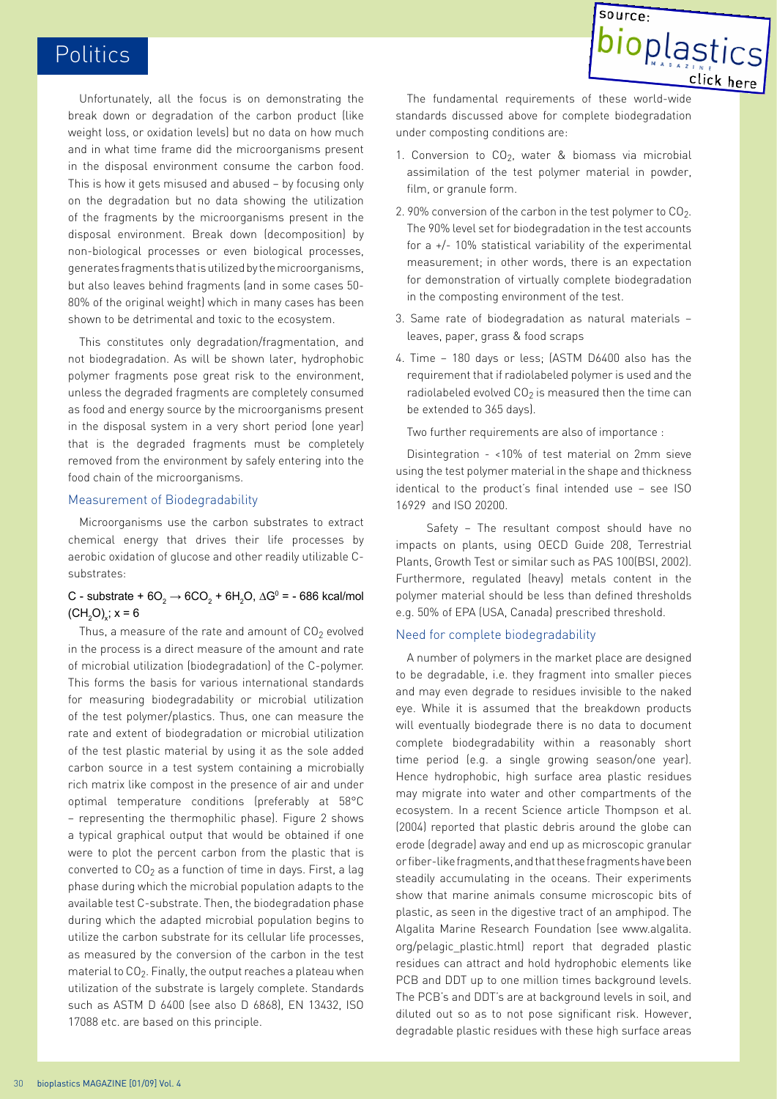Unfortunately, all the focus is on demonstrating the break down or degradation of the carbon product (like weight loss, or oxidation levels) but no data on how much and in what time frame did the microorganisms present in the disposal environment consume the carbon food. This is how it gets misused and abused – by focusing only on the degradation but no data showing the utilization of the fragments by the microorganisms present in the disposal environment. Break down (decomposition) by non-biological processes or even biological processes, generates fragments that is utilized by the microorganisms, but also leaves behind fragments (and in some cases 50- 80% of the original weight) which in many cases has been shown to be detrimental and toxic to the ecosystem.

This constitutes only degradation/fragmentation, and not biodegradation. As will be shown later, hydrophobic polymer fragments pose great risk to the environment, unless the degraded fragments are completely consumed as food and energy source by the microorganisms present in the disposal system in a very short period (one year) that is the degraded fragments must be completely removed from the environment by safely entering into the food chain of the microorganisms.

#### Measurement of Biodegradability

Microorganisms use the carbon substrates to extract chemical energy that drives their life processes by aerobic oxidation of glucose and other readily utilizable Csubstrates:

## C - substrate + 6O $_2$  → 6CO $_2$  + 6H $_2$ O, ∆Gº = - 686 kcal/mol  $(CH_2O)_x$ ; x = 6

Thus, a measure of the rate and amount of  $CO<sub>2</sub>$  evolved in the process is a direct measure of the amount and rate of microbial utilization (biodegradation) of the C-polymer. This forms the basis for various international standards for measuring biodegradability or microbial utilization of the test polymer/plastics. Thus, one can measure the rate and extent of biodegradation or microbial utilization of the test plastic material by using it as the sole added carbon source in a test system containing a microbially rich matrix like compost in the presence of air and under optimal temperature conditions (preferably at 58°C – representing the thermophilic phase). Figure 2 shows a typical graphical output that would be obtained if one were to plot the percent carbon from the plastic that is converted to  $CO<sub>2</sub>$  as a function of time in days. First, a lag phase during which the microbial population adapts to the available test C-substrate. Then, the biodegradation phase during which the adapted microbial population begins to utilize the carbon substrate for its cellular life processes, as measured by the conversion of the carbon in the test material to  $CO<sub>2</sub>$ . Finally, the output reaches a plateau when utilization of the substrate is largely complete. Standards such as ASTM D 6400 (see also D 6868), EN 13432, ISO 17088 etc. are based on this principle.



The fundamental requirements of these world-wide standards discussed above for complete biodegradation under composting conditions are:

- 1. Conversion to  $CO<sub>2</sub>$ , water & biomass via microbial assimilation of the test polymer material in powder, film, or granule form.
- 2. 90% conversion of the carbon in the test polymer to  $CO<sub>2</sub>$ . The 90% level set for biodegradation in the test accounts for a +/- 10% statistical variability of the experimental measurement; in other words, there is an expectation for demonstration of virtually complete biodegradation in the composting environment of the test.
- 3. Same rate of biodegradation as natural materials leaves, paper, grass & food scraps
- 4. Time 180 days or less; (ASTM D6400 also has the requirement that if radiolabeled polymer is used and the radiolabeled evolved  $CO<sub>2</sub>$  is measured then the time can be extended to 365 days).

Two further requirements are also of importance :

Disintegration - <10% of test material on 2mm sieve using the test polymer material in the shape and thickness identical to the product's final intended use – see ISO 16929 and ISO 20200.

 Safety – The resultant compost should have no impacts on plants, using OECD Guide 208, Terrestrial Plants, Growth Test or similar such as PAS 100(BSI, 2002). Furthermore, regulated (heavy) metals content in the polymer material should be less than defined thresholds e.g. 50% of EPA (USA, Canada) prescribed threshold.

## Need for complete biodegradability

A number of polymers in the market place are designed to be degradable, i.e. they fragment into smaller pieces and may even degrade to residues invisible to the naked eye. While it is assumed that the breakdown products will eventually biodegrade there is no data to document complete biodegradability within a reasonably short time period (e.g. a single growing season/one year). Hence hydrophobic, high surface area plastic residues may migrate into water and other compartments of the ecosystem. In a recent Science article Thompson et al. (2004) reported that plastic debris around the globe can erode (degrade) away and end up as microscopic granular or fiber-like fragments, and that these fragments have been steadily accumulating in the oceans. Their experiments show that marine animals consume microscopic bits of plastic, as seen in the digestive tract of an amphipod. The Algalita Marine Research Foundation (see www.algalita. org/pelagic\_plastic.html) report that degraded plastic residues can attract and hold hydrophobic elements like PCB and DDT up to one million times background levels. The PCB's and DDT's are at background levels in soil, and diluted out so as to not pose significant risk. However, degradable plastic residues with these high surface areas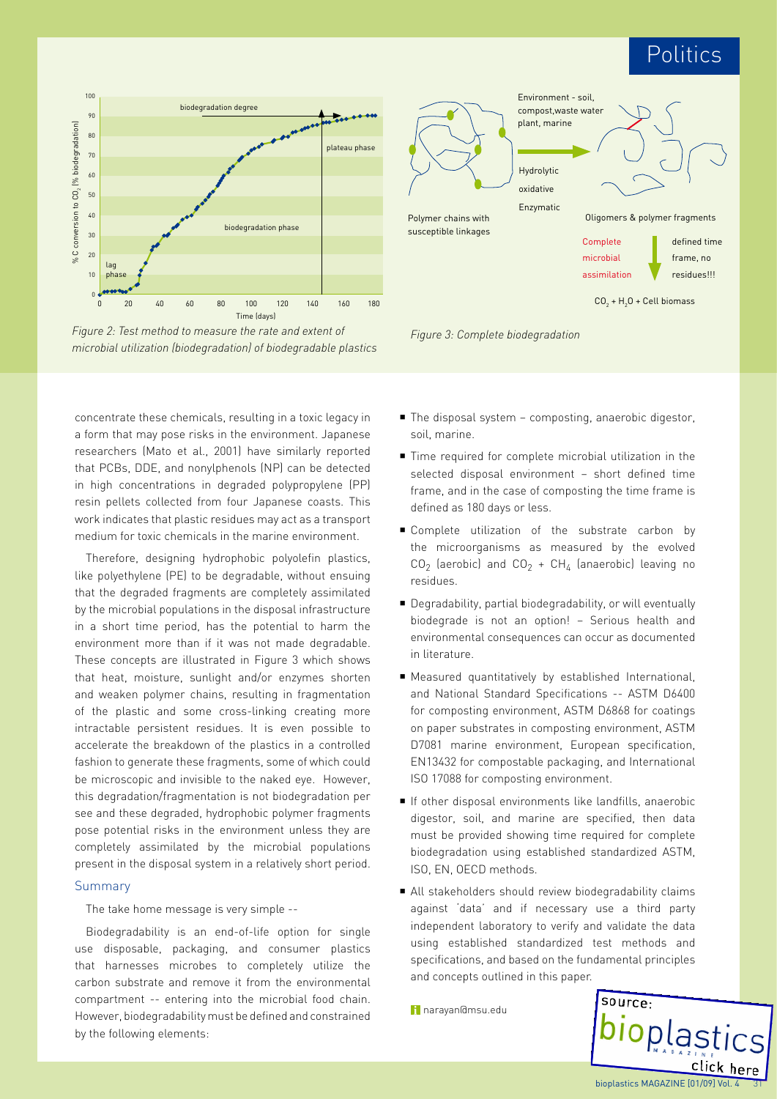

*Figure 2: Test method to measure the rate and extent of microbial utilization (biodegradation) of biodegradable plastics*

concentrate these chemicals, resulting in a toxic legacy in a form that may pose risks in the environment. Japanese researchers (Mato et al., 2001) have similarly reported that PCBs, DDE, and nonylphenols (NP) can be detected in high concentrations in degraded polypropylene (PP) resin pellets collected from four Japanese coasts. This work indicates that plastic residues may act as a transport medium for toxic chemicals in the marine environment.

Therefore, designing hydrophobic polyolefin plastics, like polyethylene (PE) to be degradable, without ensuing that the degraded fragments are completely assimilated by the microbial populations in the disposal infrastructure in a short time period, has the potential to harm the environment more than if it was not made degradable. These concepts are illustrated in Figure 3 which shows that heat, moisture, sunlight and/or enzymes shorten and weaken polymer chains, resulting in fragmentation of the plastic and some cross-linking creating more intractable persistent residues. It is even possible to accelerate the breakdown of the plastics in a controlled fashion to generate these fragments, some of which could be microscopic and invisible to the naked eye. However, this degradation/fragmentation is not biodegradation per see and these degraded, hydrophobic polymer fragments pose potential risks in the environment unless they are completely assimilated by the microbial populations present in the disposal system in a relatively short period.

### Summary

The take home message is very simple --

Biodegradability is an end-of-life option for single use disposable, packaging, and consumer plastics that harnesses microbes to completely utilize the carbon substrate and remove it from the environmental compartment -- entering into the microbial food chain. However, biodegradability must be defined and constrained by the following elements:





- The disposal system composting, anaerobic digestor, soil, marine.
- Time required for complete microbial utilization in the selected disposal environment – short defined time frame, and in the case of composting the time frame is defined as 180 days or less.
- **Complete utilization of the substrate carbon by** the microorganisms as measured by the evolved  $CO<sub>2</sub>$  (aerobic) and  $CO<sub>2</sub> + CH<sub>4</sub>$  (anaerobic) leaving no residues.
- Degradability, partial biodegradability, or will eventually biodegrade is not an option! – Serious health and environmental consequences can occur as documented in literature.
- Measured quantitatively by established International, and National Standard Specifications -- ASTM D6400 for composting environment, ASTM D6868 for coatings on paper substrates in composting environment, ASTM D7081 marine environment, European specification, EN13432 for compostable packaging, and International ISO 17088 for composting environment.
- If other disposal environments like landfills, anaerobic digestor, soil, and marine are specified, then data must be provided showing time required for complete biodegradation using established standardized ASTM, ISO, EN, OECD methods.
- All stakeholders should review biodegradability claims against 'data' and if necessary use a third party independent laboratory to verify and validate the data using established standardized test methods and specifications, and based on the fundamental principles and concepts outlined in this paper.

narayan@msu.edu

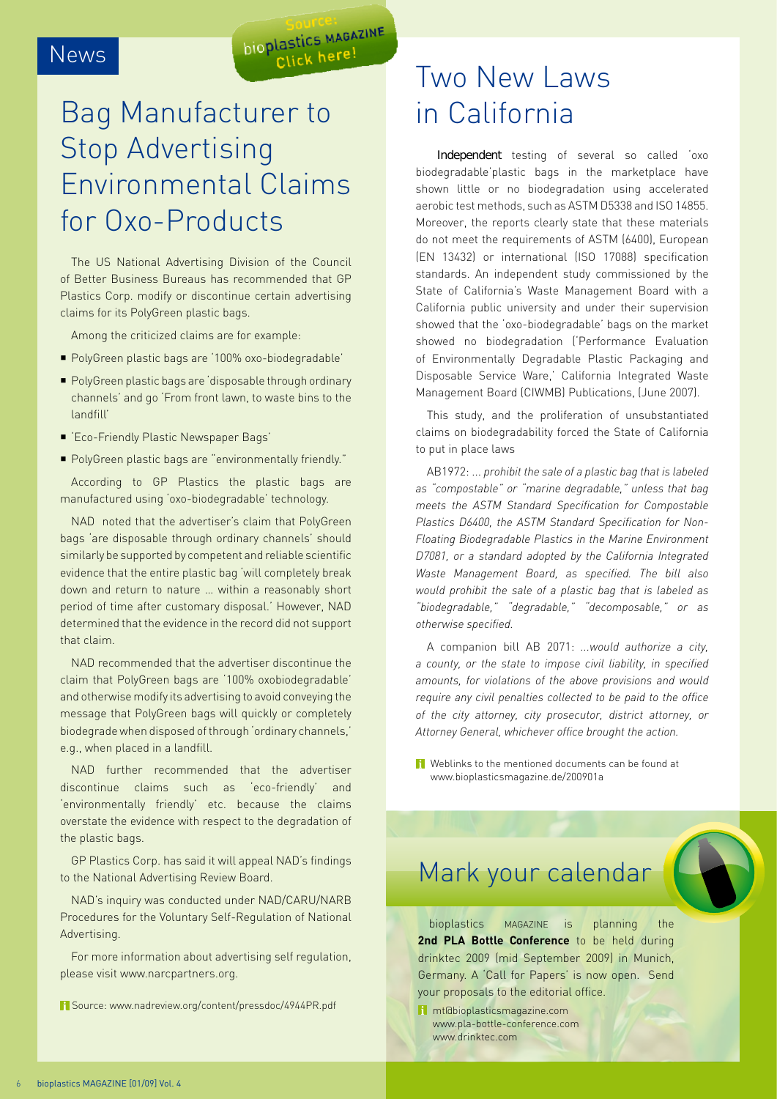## News

# Bag Manufacturer to Stop Advertising Environmental Claims for Oxo-Products

**BOUTLES MAGAZINE** Click here!

The US National Advertising Division of the Council of Better Business Bureaus has recommended that GP Plastics Corp. modify or discontinue certain advertising claims for its PolyGreen plastic bags.

Among the criticized claims are for example:

- PolyGreen plastic bags are '100% oxo-biodegradable'
- PolyGreen plastic bags are 'disposable through ordinary channels' and go 'From front lawn, to waste bins to the landfill'
- 'Eco-Friendly Plastic Newspaper Bags'
- PolyGreen plastic bags are "environmentally friendly."

According to GP Plastics the plastic bags are manufactured using 'oxo-biodegradable' technology.

NAD noted that the advertiser's claim that PolyGreen bags 'are disposable through ordinary channels' should similarly be supported by competent and reliable scientific evidence that the entire plastic bag 'will completely break down and return to nature … within a reasonably short period of time after customary disposal.' However, NAD determined that the evidence in the record did not support that claim.

NAD recommended that the advertiser discontinue the claim that PolyGreen bags are '100% oxobiodegradable' and otherwise modify its advertising to avoid conveying the message that PolyGreen bags will quickly or completely biodegrade when disposed of through 'ordinary channels,' e.g., when placed in a landfill.

NAD further recommended that the advertiser discontinue claims such as 'eco-friendly' and 'environmentally friendly' etc. because the claims overstate the evidence with respect to the degradation of the plastic bags.

GP Plastics Corp. has said it will appeal NAD's findings to the National Advertising Review Board.

NAD's inquiry was conducted under NAD/CARU/NARB Procedures for the Voluntary Self-Regulation of National Advertising.

For more information about advertising self regulation, please visit www.narcpartners.org.

Source: www.nadreview.org/content/pressdoc/4944PR.pdf

## Two New Laws in California

Independent testing of several so called 'oxo biodegradable'plastic bags in the marketplace have shown little or no biodegradation using accelerated aerobic test methods, such as ASTM D5338 and ISO 14855. Moreover, the reports clearly state that these materials do not meet the requirements of ASTM (6400), European (EN 13432) or international (ISO 17088) specification standards. An independent study commissioned by the State of California's Waste Management Board with a California public university and under their supervision showed that the 'oxo-biodegradable' bags on the market showed no biodegradation ('Performance Evaluation of Environmentally Degradable Plastic Packaging and Disposable Service Ware,' California Integrated Waste Management Board (CIWMB) Publications, (June 2007).

This study, and the proliferation of unsubstantiated claims on biodegradability forced the State of California to put in place laws

AB1972: ... *prohibit the sale of a plastic bag that is labeled as "compostable" or "marine degradable," unless that bag meets the ASTM Standard Specification for Compostable Plastics D6400, the ASTM Standard Specification for Non-Floating Biodegradable Plastics in the Marine Environment D7081, or a standard adopted by the California Integrated Waste Management Board, as specified. The bill also would prohibit the sale of a plastic bag that is labeled as "biodegradable," "degradable," "decomposable," or as otherwise specified.*

A companion bill AB 2071: *...would authorize a city, a county, or the state to impose civil liability, in specified amounts, for violations of the above provisions and would require any civil penalties collected to be paid to the office of the city attorney, city prosecutor, district attorney, or Attorney General, whichever office brought the action.*

Weblinks to the mentioned documents can be found at www.bioplasticsmagazine.de/200901a

## Mark your calendar

bioplastics MAGAZINE is planning the 2nd PLA Bottle Conference to be held during drinktec 2009 (mid September 2009) in Munich, Germany. A 'Call for Papers' is now open. Send your proposals to the editorial office.

mt@bioplasticsmagazine.com www.pla-bottle-conference.com www.drinktec.com